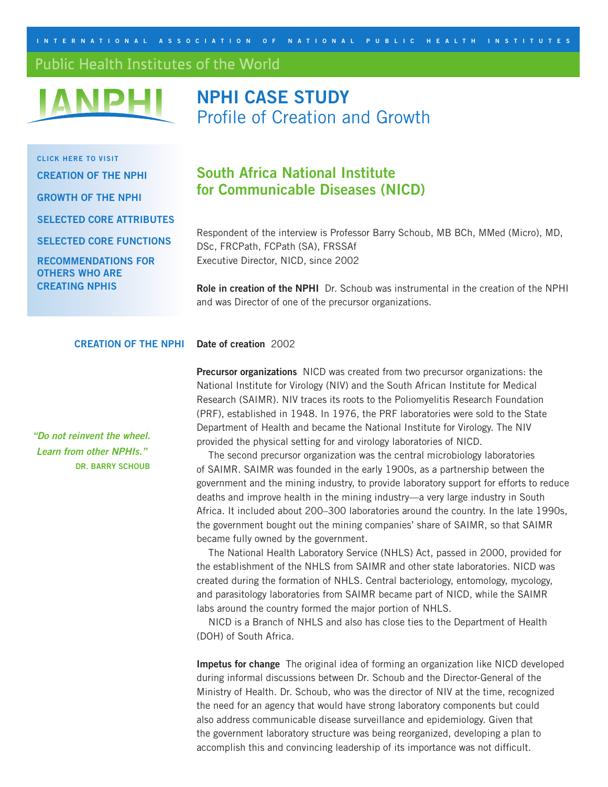<span id="page-0-0"></span>**I nternational Ass ociation of N ational Pu b lic H ealth I n s titute s**

Public Health Institutes of the World



# **NPHI CASE STUDY** Profile of Creation and Growth

**Click here to visit [Creation of the NPHI](#page-0-0) [Growth of the NPHI](#page-1-0) Selected [Core Attributes](#page-2-0) Selected [Core functions](#page-3-0) [Recommendations for](#page-3-0)  Others Who Are Creating NPHIs**

## **South Africa National Institute for Communicable Diseases (NICD)**

Respondent of the interview is Professor Barry Schoub, MB BCh, MMed (Micro), MD, DSc, FRCPath, FCPath (SA), FRSSAf Executive Director, NICD, since 2002

**Role in creation of the NPHI** Dr. Schoub was instrumental in the creation of the NPHI and was Director of one of the precursor organizations.

#### **Creation of the NPHI Date of creation** 2002

**Precursor organizations** NICD was created from two precursor organizations: the National Institute for Virology (NIV) and the South African Institute for Medical Research (SAIMR). NIV traces its roots to the Poliomyelitis Research Foundation (PRF), established in 1948. In 1976, the PRF laboratories were sold to the State Department of Health and became the National Institute for Virology. The NIV provided the physical setting for and virology laboratories of NICD.

The second precursor organization was the central microbiology laboratories of SAIMR. SAIMR was founded in the early 1900s, as a partnership between the government and the mining industry, to provide laboratory support for efforts to reduce deaths and improve health in the mining industry—a very large industry in South Africa. It included about 200–300 laboratories around the country. In the late 1990s, the government bought out the mining companies' share of SAIMR, so that SAIMR became fully owned by the government.

The National Health Laboratory Service (NHLS) Act, passed in 2000, provided for the establishment of the NHLS from SAIMR and other state laboratories. NICD was created during the formation of NHLS. Central bacteriology, entomology, mycology, and parasitology laboratories from SAIMR became part of NICD, while the SAIMR labs around the country formed the major portion of NHLS.

NICD is a Branch of NHLS and also has close ties to the Department of Health (DOH) of South Africa.

**Impetus for change** The original idea of forming an organization like NICD developed during informal discussions between Dr. Schoub and the Director-General of the Ministry of Health. Dr. Schoub, who was the director of NIV at the time, recognized the need for an agency that would have strong laboratory components but could also address communicable disease surveillance and epidemiology. Given that the government laboratory structure was being reorganized, developing a plan to accomplish this and convincing leadership of its importance was not difficult.

*"Do not reinvent the wheel. Learn from other NPHIs."*  **Dr. Barry Schoub**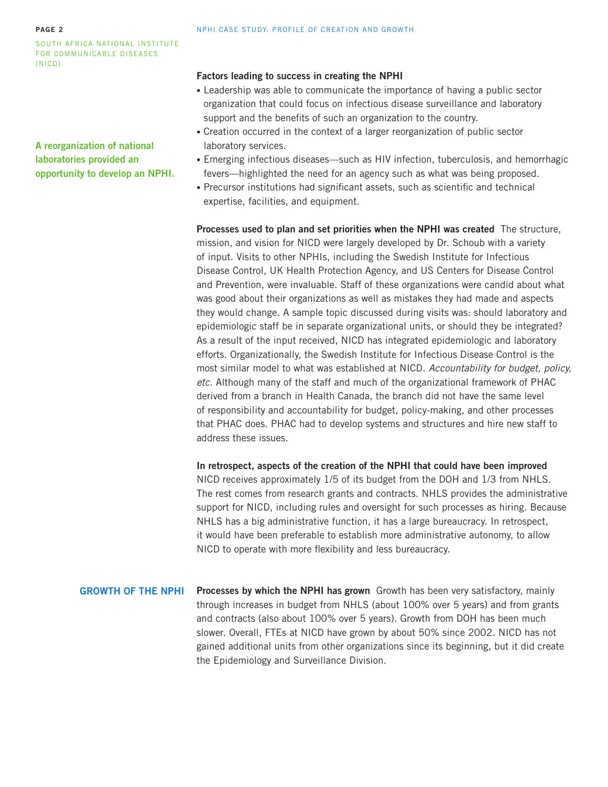#### <span id="page-1-0"></span>**page 2**

South Africa National Institute for Communicable Diseases (NICD)

**A reorganization of national laboratories provided an opportunity to develop an NPHI.**

#### **Factors leading to success in creating the NPHI**

- Leadership was able to communicate the importance of having a public sector organization that could focus on infectious disease surveillance and laboratory support and the benefits of such an organization to the country.
- Creation occurred in the context of a larger reorganization of public sector laboratory services.
- Emerging infectious diseases—such as HIV infection, tuberculosis, and hemorrhagic fevers—highlighted the need for an agency such as what was being proposed.
- Precursor institutions had significant assets, such as scientific and technical expertise, facilities, and equipment.

**Processes used to plan and set priorities when the NPHI was created** The structure, mission, and vision for NICD were largely developed by Dr. Schoub with a variety of input. Visits to other NPHIs, including the Swedish Institute for Infectious Disease Control, UK Health Protection Agency, and US Centers for Disease Control and Prevention, were invaluable. Staff of these organizations were candid about what was good about their organizations as well as mistakes they had made and aspects they would change. A sample topic discussed during visits was: should laboratory and epidemiologic staff be in separate organizational units, or should they be integrated? As a result of the input received, NICD has integrated epidemiologic and laboratory efforts. Organizationally, the Swedish Institute for Infectious Disease Control is the most similar model to what was established at NICD. *Accountability for budget, policy, etc.* Although many of the staff and much of the organizational framework of PHAC derived from a branch in Health Canada, the branch did not have the same level of responsibility and accountability for budget, policy-making, and other processes that PHAC does. PHAC had to develop systems and structures and hire new staff to address these issues.

**In retrospect, aspects of the creation of the NPHI that could have been improved**  NICD receives approximately 1/5 of its budget from the DOH and 1/3 from NHLS. The rest comes from research grants and contracts. NHLS provides the administrative support for NICD, including rules and oversight for such processes as hiring. Because NHLS has a big administrative function, it has a large bureaucracy. In retrospect, it would have been preferable to establish more administrative autonomy, to allow NICD to operate with more flexibility and less bureaucracy.

**Growth of the NPHI**

**Processes by which the NPHI has grown** Growth has been very satisfactory, mainly through increases in budget from NHLS (about 100% over 5 years) and from grants and contracts (also about 100% over 5 years). Growth from DOH has been much slower. Overall, FTEs at NICD have grown by about 50% since 2002. NICD has not gained additional units from other organizations since its beginning, but it did create the Epidemiology and Surveillance Division.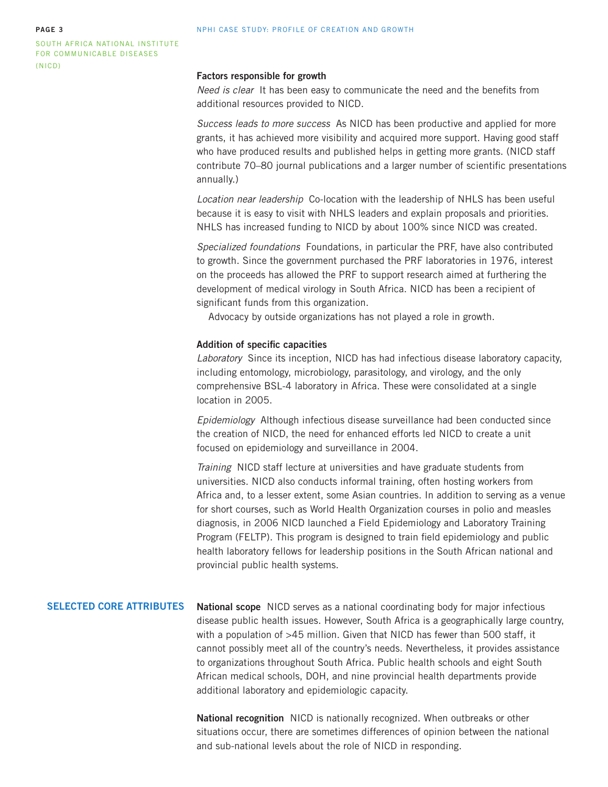<span id="page-2-0"></span>South Africa National Institute for Communicable Diseases (NICD)

#### **Factors responsible for growth**

*Need is clear* It has been easy to communicate the need and the benefits from additional resources provided to NICD.

*Success leads to more success* As NICD has been productive and applied for more grants, it has achieved more visibility and acquired more support. Having good staff who have produced results and published helps in getting more grants. (NICD staff contribute 70–80 journal publications and a larger number of scientific presentations annually.)

*Location near leadership* Co-location with the leadership of NHLS has been useful because it is easy to visit with NHLS leaders and explain proposals and priorities. NHLS has increased funding to NICD by about 100% since NICD was created.

*Specialized foundations* Foundations, in particular the PRF, have also contributed to growth. Since the government purchased the PRF laboratories in 1976, interest on the proceeds has allowed the PRF to support research aimed at furthering the development of medical virology in South Africa. NICD has been a recipient of significant funds from this organization.

Advocacy by outside organizations has not played a role in growth.

#### **Addition of specific capacities**

*Laboratory* Since its inception, NICD has had infectious disease laboratory capacity, including entomology, microbiology, parasitology, and virology, and the only comprehensive BSL-4 laboratory in Africa. These were consolidated at a single location in 2005.

*Epidemiology* Although infectious disease surveillance had been conducted since the creation of NICD, the need for enhanced efforts led NICD to create a unit focused on epidemiology and surveillance in 2004.

*Training* NICD staff lecture at universities and have graduate students from universities. NICD also conducts informal training, often hosting workers from Africa and, to a lesser extent, some Asian countries. In addition to serving as a venue for short courses, such as World Health Organization courses in polio and measles diagnosis, in 2006 NICD launched a Field Epidemiology and Laboratory Training Program (FELTP). This program is designed to train field epidemiology and public health laboratory fellows for leadership positions in the South African national and provincial public health systems.

#### **Selected Core Attributes**

**National scope** NICD serves as a national coordinating body for major infectious disease public health issues. However, South Africa is a geographically large country, with a population of >45 million. Given that NICD has fewer than 500 staff, it cannot possibly meet all of the country's needs. Nevertheless, it provides assistance to organizations throughout South Africa. Public health schools and eight South African medical schools, DOH, and nine provincial health departments provide additional laboratory and epidemiologic capacity.

**National recognition** NICD is nationally recognized. When outbreaks or other situations occur, there are sometimes differences of opinion between the national and sub-national levels about the role of NICD in responding.